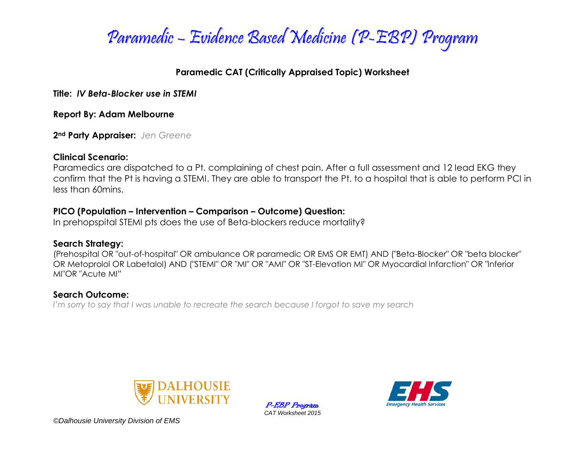

### **Paramedic CAT (Critically Appraised Topic) Worksheet**

**Title:** *IV Beta-Blocker use in STEMI*

**Report By: Adam Melbourne**

**2nd Party Appraiser:** *Jen Greene*

### **Clinical Scenario:**

Paramedics are dispatched to a Pt. complaining of chest pain. After a full assessment and 12 lead EKG they confirm that the Pt is having a STEMI. They are able to transport the Pt. to a hospital that is able to perform PCI in less than 60mins.

### **PICO (Population – Intervention – Comparison – Outcome) Question:**

In prehopspital STEMI pts does the use of Beta-blockers reduce mortality?

## **Search Strategy:**

(Prehospital OR "out-of-hospital" OR ambulance OR paramedic OR EMS OR EMT) AND ("Beta-Blocker" OR "beta blocker" OR Metoprolol OR Labetalol) AND ("STEMI" OR "MI" OR "AMI" OR "ST-Elevation MI" OR Myocardial Infarction" OR "Inferior MI"OR "Acute MI"

## **Search Outcome:**

*I'm sorry to say that I was unable to recreate the search because I forgot to save my search*



P-EBP Program *CAT Worksheet 2015*

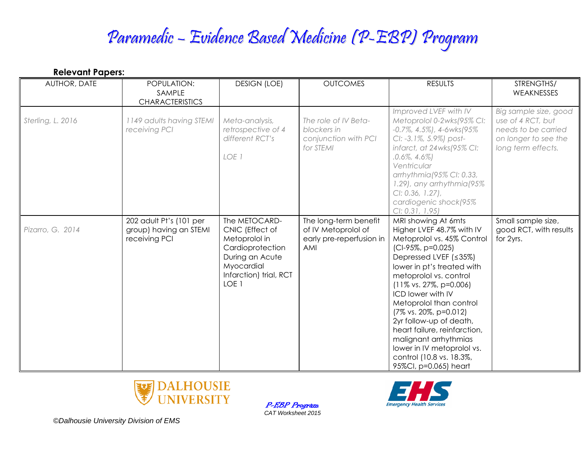| <b>Relevant Papers:</b> |                                                                    |                                                                                                                                                      |                                                                                 |                                                                                                                                                                                                                                                                                                                                                                                                                                                                                     |                                                                                                                 |  |  |  |
|-------------------------|--------------------------------------------------------------------|------------------------------------------------------------------------------------------------------------------------------------------------------|---------------------------------------------------------------------------------|-------------------------------------------------------------------------------------------------------------------------------------------------------------------------------------------------------------------------------------------------------------------------------------------------------------------------------------------------------------------------------------------------------------------------------------------------------------------------------------|-----------------------------------------------------------------------------------------------------------------|--|--|--|
| AUTHOR, DATE            | POPULATION:<br>SAMPLE<br><b>CHARACTERISTICS</b>                    | <b>DESIGN (LOE)</b>                                                                                                                                  | <b>OUTCOMES</b>                                                                 | <b>RESULTS</b>                                                                                                                                                                                                                                                                                                                                                                                                                                                                      | STRENGTHS/<br>WEAKNESSES                                                                                        |  |  |  |
| Sterling, L. 2016       | 1149 adults having STEMI<br>receiving PCI                          | Meta-analysis,<br>retrospective of 4<br>different RCT's<br>LOE 1                                                                                     | The role of IV Beta-<br>blockers in<br>conjunction with PCI<br>for STEMI        | Improved LVEF with IV<br>Metoprolol 0-2wks(95% CI:<br>$-0.7\%$ , 4.5%), 4-6wks(95%)<br>CI: -3.1%, 5.9%) post-<br>infarct, at 24wks(95% CI:<br>$.0.6\%$ , $4.6\%$<br>Ventricular<br>arrhythmia (95% CI: 0.33,<br>1.29), any arrhythmia (95%<br>CI: 0.36, 1.27),<br>cardiogenic shock(95%<br>Cl: 0.31, 1.95                                                                                                                                                                           | Big sample size, good<br>use of 4 RCT, but<br>needs to be carried<br>on longer to see the<br>long term effects. |  |  |  |
| Pizarro, G. 2014        | 202 adult Pt's (101 per<br>group) having an STEMI<br>receiving PCI | The METOCARD-<br>CNIC (Effect of<br>Metoprolol in<br>Cardioprotection<br>During an Acute<br>Myocardial<br>Infarction) trial, RCT<br>LOE <sub>1</sub> | The long-term benefit<br>of IV Metoprolol of<br>early pre-reperfusion in<br>AMI | MRI showing At 6mts<br>Higher LVEF 48.7% with IV<br>Metoprolol vs. 45% Control<br>(CI-95%, p=0.025)<br>Depressed LVEF (≤35%)<br>lower in pt's treated with<br>metoprolol vs. control<br>$(11\% \text{ vs. } 27\%, \text{ p=0.006})$<br>ICD lower with IV<br>Metoprolol than control<br>(7% vs. 20%, p=0.012)<br>2yr follow-up of death,<br>heart failure, reinfarction,<br>malignant arrhythmias<br>lower in IV metoprolol vs.<br>control (10.8 vs. 18.3%,<br>95%Cl, p=0.065) heart | Small sample size,<br>good RCT, with results<br>for 2yrs.                                                       |  |  |  |

P-EBP Program *CAT Worksheet 2015*



**Emergency Health Services**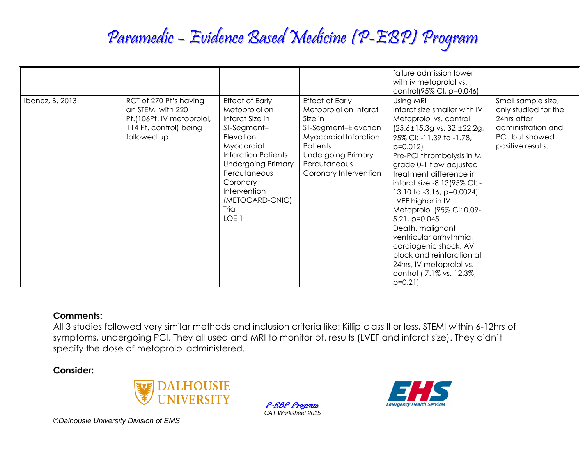|                 |                                                                                                                    |                                                                                                                                                                                                                                                             |                                                                                                                                                                                                      | failure admission lower<br>with iv metoprolol vs.<br>control(95% CI, p=0.046)                                                                                                                                                                                                                                                                                                                                                                                                                                                                            |                                                                                                                         |
|-----------------|--------------------------------------------------------------------------------------------------------------------|-------------------------------------------------------------------------------------------------------------------------------------------------------------------------------------------------------------------------------------------------------------|------------------------------------------------------------------------------------------------------------------------------------------------------------------------------------------------------|----------------------------------------------------------------------------------------------------------------------------------------------------------------------------------------------------------------------------------------------------------------------------------------------------------------------------------------------------------------------------------------------------------------------------------------------------------------------------------------------------------------------------------------------------------|-------------------------------------------------------------------------------------------------------------------------|
| Ibanez, B. 2013 | RCT of 270 Pt's having<br>an STEMI with 220<br>Pt.(106Pt. IV metoprolol,<br>114 Pt. control) being<br>followed up. | <b>Effect of Early</b><br>Metoprolol on<br>Infarct Size in<br>ST-Segment-<br>Elevation<br>Myocardial<br><b>Infarction Patients</b><br><b>Undergoing Primary</b><br>Percutaneous<br>Coronary<br>Intervention<br>(METOCARD-CNIC)<br>Trial<br>LOE <sub>1</sub> | <b>Effect of Early</b><br>Metoprolol on Infarct<br>Size in<br>ST-Segment-Elevation<br>Myocardial Infarction<br><b>Patients</b><br><b>Undergoing Primary</b><br>Percutaneous<br>Coronary Intervention | Using MRI<br>Infarct size smaller with IV<br>Metoprolol vs. control<br>$(25.6 \pm 15.3)$ vs. 32 $\pm 22.2$ g,<br>95% CI: -11.39 to -1.78,<br>$p=0.012$<br>Pre-PCI thrombolysis in MI<br>grade 0-1 flow adjusted<br>treatment difference in<br>infarct size -8.13(95% CI: -<br>13.10 to -3.16, p=0.0024)<br>LVEF higher in IV<br>Metoprolol (95% CI: 0.09-<br>$5.21$ , $p=0.045$<br>Death, malignant<br>ventricular arrhythmia,<br>cardiogenic shock, AV<br>block and reinfarction at<br>24hrs, IV metoprolol vs.<br>control (7.1% vs. 12.3%,<br>$p=0.21$ | Small sample size,<br>only studied for the<br>24hrs after<br>administration and<br>PCI, but showed<br>positive results. |

#### **Comments:**

All 3 studies followed very similar methods and inclusion criteria like: Killip class II or less, STEMI within 6-12hrs of symptoms, undergoing PCI. They all used and MRI to monitor pt. results (LVEF and infarct size). They didn't specify the dose of metoprolol administered.

#### **Consider:**



P-EBP Program *CAT Worksheet 2015*

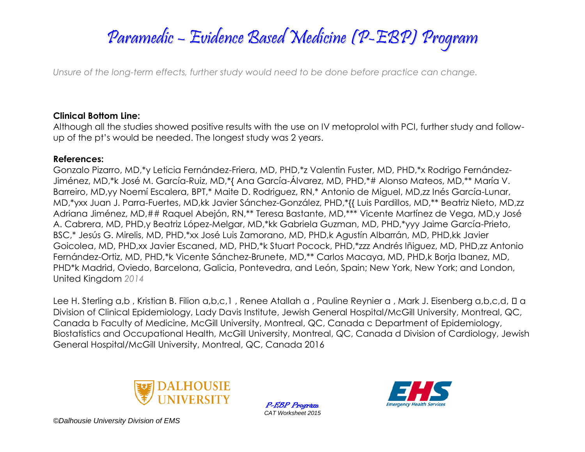*Unsure of the long-term effects, further study would need to be done before practice can change.*

### **Clinical Bottom Line:**

Although all the studies showed positive results with the use on IV metoprolol with PCI, further study and followup of the pt's would be needed. The longest study was 2 years.

#### **References:**

Gonzalo Pizarro, MD,\*y Leticia Fernández-Friera, MD, PHD,\*z Valentin Fuster, MD, PHD,\*x Rodrigo Fernández-Jiménez, MD,\*k José M. García-Ruiz, MD,\*{ Ana García-Álvarez, MD, PHD,\*# Alonso Mateos, MD,\*\* María V. Barreiro, MD,yy Noemí Escalera, BPT,\* Maite D. Rodriguez, RN,\* Antonio de Miguel, MD,zz Inés García-Lunar, MD,\*yxx Juan J. Parra-Fuertes, MD,kk Javier Sánchez-González, PHD,\*{{ Luis Pardillos, MD,\*\* Beatriz Nieto, MD,zz Adriana Jiménez, MD,## Raquel Abejón, RN,\*\* Teresa Bastante, MD,\*\*\* Vicente Martínez de Vega, MD,y José A. Cabrera, MD, PHD,y Beatriz López-Melgar, MD,\*kk Gabriela Guzman, MD, PHD,\*yyy Jaime García-Prieto, BSC,\* Jesús G. Mirelis, MD, PHD,\*xx José Luis Zamorano, MD, PHD,k Agustín Albarrán, MD, PHD,kk Javier Goicolea, MD, PHD,xx Javier Escaned, MD, PHD,\*k Stuart Pocock, PHD,\*zzz Andrés Iñiguez, MD, PHD,zz Antonio Fernández-Ortiz, MD, PHD,\*k Vicente Sánchez-Brunete, MD,\*\* Carlos Macaya, MD, PHD,k Borja Ibanez, MD, PHD\*k Madrid, Oviedo, Barcelona, Galicia, Pontevedra, and León, Spain; New York, New York; and London, United Kingdom *2014*

Lee H. Sterling a,b, Kristian B. Filion a,b,c,1, Renee Atallah a, Pauline Reynier a, Mark J. Eisenberg a,b,c,d, □ a Division of Clinical Epidemiology, Lady Davis Institute, Jewish General Hospital/McGill University, Montreal, QC, Canada b Faculty of Medicine, McGill University, Montreal, QC, Canada c Department of Epidemiology, Biostatistics and Occupational Health, McGill University, Montreal, QC, Canada d Division of Cardiology, Jewish General Hospital/McGill University, Montreal, QC, Canada 2016



P-EBP Program *CAT Worksheet 2015*